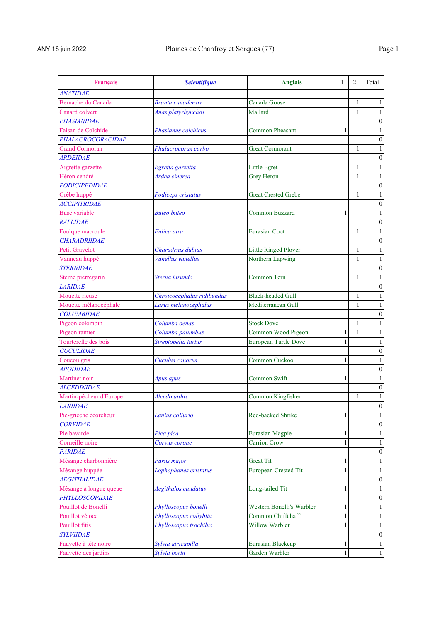| Français                | <b>Scientifique</b>        | <b>Anglais</b>              | $\mathbf{1}$ | 2            | Total            |
|-------------------------|----------------------------|-----------------------------|--------------|--------------|------------------|
| <b>ANATIDAE</b>         |                            |                             |              |              |                  |
| Bernache du Canada      | <b>Branta</b> canadensis   | Canada Goose                |              | 1            | 1                |
| Canard colvert          | <b>Anas platyrhynchos</b>  | Mallard                     |              | 1            | 1                |
| <b>PHASIANIDAE</b>      |                            |                             |              |              | $\boldsymbol{0}$ |
| Faisan de Colchide      | Phasianus colchicus        | <b>Common Pheasant</b>      | 1            |              | 1                |
| PHALACROCORACIDAE       |                            |                             |              |              | $\boldsymbol{0}$ |
| <b>Grand Cormoran</b>   | Phalacrocorax carbo        | <b>Great Cormorant</b>      |              | 1            | $\mathbf{1}$     |
| <b>ARDEIDAE</b>         |                            |                             |              |              | $\boldsymbol{0}$ |
| Aigrette garzette       | Egretta garzetta           | Little Egret                |              | $\mathbf{1}$ | 1                |
| Héron cendré            | Ardea cinerea              | Grey Heron                  |              | 1            | 1                |
| <b>PODICIPEDIDAE</b>    |                            |                             |              |              | $\boldsymbol{0}$ |
| Grèbe huppé             | Podiceps cristatus         | <b>Great Crested Grebe</b>  |              | 1            | 1                |
| <b>ACCIPITRIDAE</b>     |                            |                             |              |              | $\boldsymbol{0}$ |
| <b>Buse variable</b>    | <b>Buteo buteo</b>         | <b>Common Buzzard</b>       | 1            |              | 1                |
| <b>RALLIDAE</b>         |                            |                             |              |              | $\boldsymbol{0}$ |
| Foulque macroule        | Fulica atra                | <b>Eurasian Coot</b>        |              | 1            | 1                |
| <b>CHARADRIIDAE</b>     |                            |                             |              |              | $\boldsymbol{0}$ |
| <b>Petit Gravelot</b>   | Charadrius dubius          | Little Ringed Plover        |              | 1            | 1                |
| Vanneau huppé           | Vanellus vanellus          | Northern Lapwing            |              | 1            | 1                |
| <b>STERNIDAE</b>        |                            |                             |              |              | $\boldsymbol{0}$ |
| Sterne pierregarin      | Sterna hirundo             | Common Tern                 |              | 1            | $\mathbf{1}$     |
| <b>LARIDAE</b>          |                            |                             |              |              | $\boldsymbol{0}$ |
| Mouette rieuse          | Chroicocephalus ridibundus | <b>Black-headed Gull</b>    |              | 1            | 1                |
| Mouette mélanocéphale   | Larus melanocephalus       | Mediterranean Gull          |              | 1            |                  |
| <b>COLUMBIDAE</b>       |                            |                             |              |              | $\boldsymbol{0}$ |
| Pigeon colombin         | Columba oenas              | <b>Stock Dove</b>           |              | 1            | 1                |
| Pigeon ramier           | Columba palumbus           | Common Wood Pigeon          | 1            | 1            | 1                |
| Tourterelle des bois    | Streptopelia turtur        | <b>European Turtle Dove</b> |              |              | 1                |
| <b>CUCULIDAE</b>        |                            |                             |              |              | 0                |
| Coucou gris             | Cuculus canorus            | Common Cuckoo               | 1            |              | 1                |
| <b>APODIDAE</b>         |                            |                             |              |              | $\boldsymbol{0}$ |
| Martinet noir           | Apus apus                  | Common Swift                | 1            |              | 1                |
| <b>ALCEDINIDAE</b>      |                            |                             |              |              | $\boldsymbol{0}$ |
| Martin-pêcheur d'Europe | Alcedo atthis              | Common Kingfisher           |              | 1            | $\mathbf{1}$     |
| <b>LANIIDAE</b>         |                            |                             |              |              | $\boldsymbol{0}$ |
| Pie-grièche écorcheur   | Lanius collurio            | Red-backed Shrike           | 1            |              | 1                |
| <b>CORVIDAE</b>         |                            |                             |              |              | $\overline{0}$   |
| Pie bavarde             | Pica pica                  | <b>Eurasian Magpie</b>      | 1            |              |                  |
| Corneille noire         | Corvus corone              | <b>Carrion Crow</b>         | 1            |              |                  |
| <i>PARIDAE</i>          |                            |                             |              |              | 0                |
| Mésange charbonnière    | Parus major                | Great Tit                   | 1            |              | 1                |
| Mésange huppée          | Lophophanes cristatus      | <b>European Crested Tit</b> | 1            |              | 1                |
| <b>AEGITHALIDAE</b>     |                            |                             |              |              | 0                |
| Mésange à longue queue  | Aegithalos caudatus        | Long-tailed Tit             | 1            |              | 1                |
| PHYLLOSCOPIDAE          |                            |                             |              |              | $\boldsymbol{0}$ |
| Pouillot de Bonelli     | Phylloscopus bonelli       | Western Bonelli's Warbler   | 1            |              | 1                |
| Pouillot véloce         | Phylloscopus collybita     | Common Chiffchaff           |              |              | 1                |
| Pouillot fitis          | Phylloscopus trochilus     | Willow Warbler              | 1            |              | $\mathbf{1}$     |
| <b>SYLVIIDAE</b>        |                            |                             |              |              | $\boldsymbol{0}$ |
| Fauvette à tête noire   | Sylvia atricapilla         | Eurasian Blackcap           | $\mathbf{1}$ |              | 1                |
| Fauvette des jardins    | Sylvia borin               | Garden Warbler              | 1            |              | $\mathbf{1}$     |